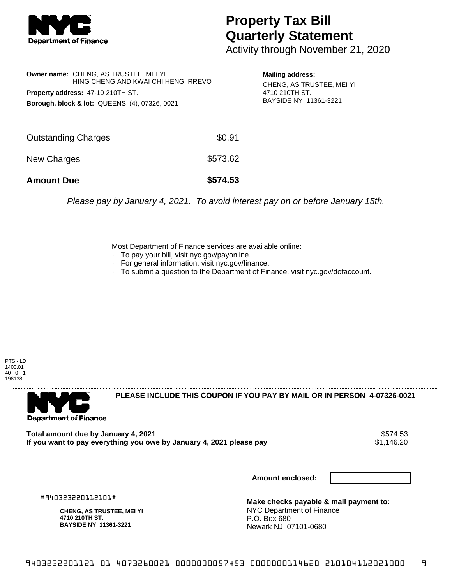

## **Property Tax Bill Quarterly Statement**

Activity through November 21, 2020

|                            | <b>Owner name: CHENG, AS TRUSTEE, MEI YI</b><br>HING CHENG AND KWAI CHI HENG IRREVO<br><b>Property address: 47-10 210TH ST.</b><br><b>Borough, block &amp; lot: QUEENS (4), 07326, 0021</b> |          | <b>Mailing address:</b><br>CHENG, AS TRUSTEE, MEI YI<br>4710 210TH ST.<br>BAYSIDE NY 11361-3221 |
|----------------------------|---------------------------------------------------------------------------------------------------------------------------------------------------------------------------------------------|----------|-------------------------------------------------------------------------------------------------|
| <b>Outstanding Charges</b> |                                                                                                                                                                                             | \$0.91   |                                                                                                 |
| New Charges                |                                                                                                                                                                                             | \$573.62 |                                                                                                 |
| <b>Amount Due</b>          |                                                                                                                                                                                             | \$574.53 |                                                                                                 |

Please pay by January 4, 2021. To avoid interest pay on or before January 15th.

Most Department of Finance services are available online:

- · To pay your bill, visit nyc.gov/payonline.
- For general information, visit nyc.gov/finance.
- · To submit a question to the Department of Finance, visit nyc.gov/dofaccount.

PTS - LD 1400.01  $40 - 0 - 1$ 198138



**PLEASE INCLUDE THIS COUPON IF YOU PAY BY MAIL OR IN PERSON 4-07326-0021** 

Total amount due by January 4, 2021<br>If you want to pay everything you owe by January 4, 2021 please pay **ship and the set of the set of the s**1,146.20 If you want to pay everything you owe by January 4, 2021 please pay

**Amount enclosed:**

#940323220112101#

**CHENG, AS TRUSTEE, MEI YI 4710 210TH ST. BAYSIDE NY 11361-3221**

**Make checks payable & mail payment to:** NYC Department of Finance P.O. Box 680 Newark NJ 07101-0680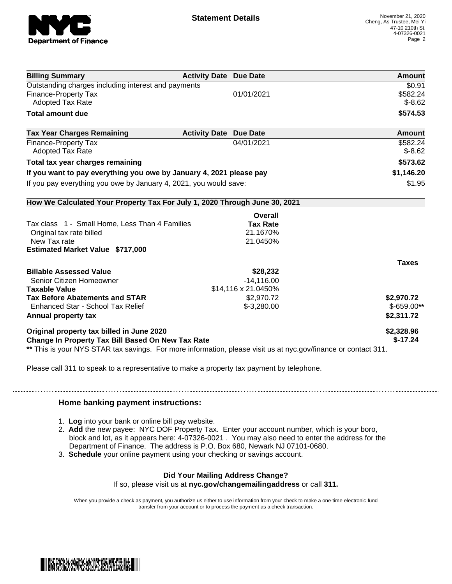

| <b>Billing Summary</b>                                                                                         | <b>Activity Date Due Date</b> |                 | Amount       |
|----------------------------------------------------------------------------------------------------------------|-------------------------------|-----------------|--------------|
| Outstanding charges including interest and payments                                                            |                               |                 | \$0.91       |
| <b>Finance-Property Tax</b>                                                                                    |                               | 01/01/2021      | \$582.24     |
| <b>Adopted Tax Rate</b>                                                                                        |                               |                 | $$-8.62$     |
| <b>Total amount due</b>                                                                                        |                               |                 | \$574.53     |
| <b>Tax Year Charges Remaining</b>                                                                              | <b>Activity Date Due Date</b> |                 | Amount       |
| <b>Finance-Property Tax</b>                                                                                    |                               | 04/01/2021      | \$582.24     |
| <b>Adopted Tax Rate</b>                                                                                        |                               |                 | $$-8.62$     |
| Total tax year charges remaining                                                                               | \$573.62                      |                 |              |
| If you want to pay everything you owe by January 4, 2021 please pay                                            | \$1,146.20                    |                 |              |
| If you pay everything you owe by January 4, 2021, you would save:                                              | \$1.95                        |                 |              |
| How We Calculated Your Property Tax For July 1, 2020 Through June 30, 2021                                     |                               |                 |              |
|                                                                                                                |                               | Overall         |              |
| Tax class 1 - Small Home, Less Than 4 Families                                                                 |                               | <b>Tax Rate</b> |              |
| Original tax rate billed                                                                                       |                               | 21.1670%        |              |
| New Tax rate                                                                                                   |                               | 21.0450%        |              |
| <b>Estimated Market Value \$717,000</b>                                                                        |                               |                 |              |
|                                                                                                                |                               |                 | <b>Taxes</b> |
| <b>Billable Assessed Value</b>                                                                                 |                               | \$28,232        |              |
| Senior Citizen Homeowner                                                                                       |                               | $-14,116.00$    |              |
| \$14,116 x 21.0450%<br><b>Taxable Value</b>                                                                    |                               |                 |              |
| <b>Tax Before Abatements and STAR</b>                                                                          |                               | \$2,970.72      | \$2,970.72   |
| Enhanced Star - School Tax Relief                                                                              |                               | $$-3,280.00$    | $$-659.00**$ |
| Annual property tax                                                                                            |                               |                 | \$2,311.72   |
| Original property tax billed in June 2020                                                                      |                               |                 | \$2,328.96   |
| <b>Change In Property Tax Bill Based On New Tax Rate</b>                                                       | $$-17.24$                     |                 |              |
| ** This is your NYS STAR tax savings. For more information, please visit us at nyc.gov/finance or contact 311. |                               |                 |              |

Please call 311 to speak to a representative to make a property tax payment by telephone.

## **Home banking payment instructions:**

- 1. **Log** into your bank or online bill pay website.
- 2. **Add** the new payee: NYC DOF Property Tax. Enter your account number, which is your boro, block and lot, as it appears here: 4-07326-0021 . You may also need to enter the address for the Department of Finance. The address is P.O. Box 680, Newark NJ 07101-0680.
- 3. **Schedule** your online payment using your checking or savings account.

## **Did Your Mailing Address Change?**

If so, please visit us at **nyc.gov/changemailingaddress** or call **311.**

When you provide a check as payment, you authorize us either to use information from your check to make a one-time electronic fund transfer from your account or to process the payment as a check transaction.